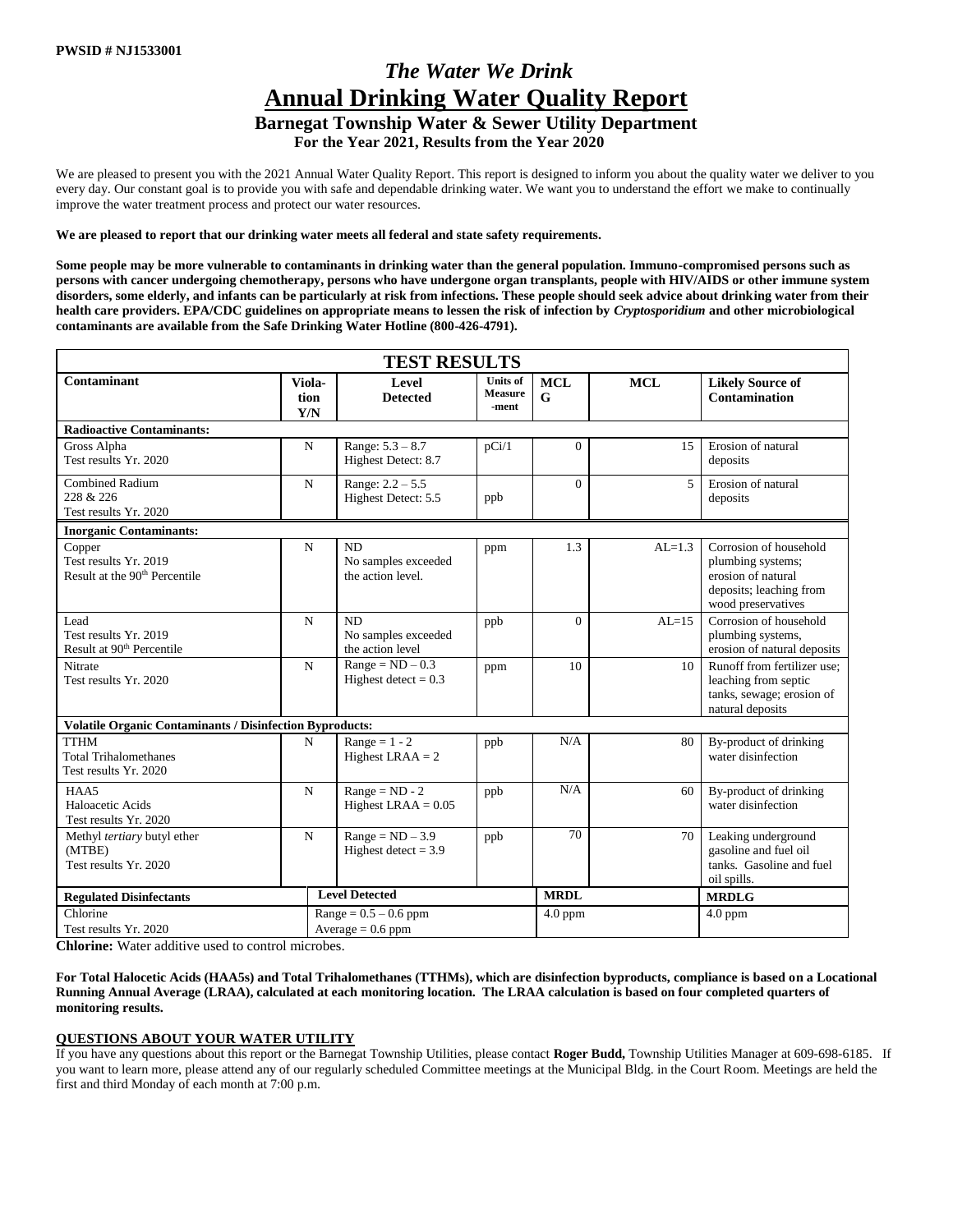# *The Water We Drink* **Annual Drinking Water Quality Report**

**Barnegat Township Water & Sewer Utility Department**

 **For the Year 2021, Results from the Year 2020**

We are pleased to present you with the 2021 Annual Water Quality Report. This report is designed to inform you about the quality water we deliver to you every day. Our constant goal is to provide you with safe and dependable drinking water. We want you to understand the effort we make to continually improve the water treatment process and protect our water resources.

#### **We are pleased to report that our drinking water meets all federal and state safety requirements.**

**Some people may be more vulnerable to contaminants in drinking water than the general population. Immuno-compromised persons such as persons with cancer undergoing chemotherapy, persons who have undergone organ transplants, people with HIV/AIDS or other immune system disorders, some elderly, and infants can be particularly at risk from infections. These people should seek advice about drinking water from their health care providers. EPA/CDC guidelines on appropriate means to lessen the risk of infection by** *Cryptosporidium* **and other microbiological contaminants are available from the Safe Drinking Water Hotline (800-426-4791).** 

|                                                                              |             | <b>TEST RESULTS</b>                                  |                                            |                 |            |                                                                                                                    |  |  |
|------------------------------------------------------------------------------|-------------|------------------------------------------------------|--------------------------------------------|-----------------|------------|--------------------------------------------------------------------------------------------------------------------|--|--|
| Contaminant<br>Viola-<br>tion<br>Y/N                                         |             | Level<br><b>Detected</b>                             | <b>Units of</b><br><b>Measure</b><br>-ment | <b>MCL</b><br>G | <b>MCL</b> | <b>Likely Source of</b><br>Contamination                                                                           |  |  |
| <b>Radioactive Contaminants:</b>                                             |             |                                                      |                                            |                 |            |                                                                                                                    |  |  |
| Gross Alpha<br>Test results Yr. 2020                                         | $\mathbf N$ | Range: $5.3 - 8.7$<br>Highest Detect: 8.7            | pCi/1                                      | $\Omega$        | 15         | Erosion of natural<br>deposits                                                                                     |  |  |
| <b>Combined Radium</b><br>228 & 226<br>Test results Yr. 2020                 | $\mathbf N$ | Range: $2.2 - 5.5$<br>Highest Detect: 5.5            | ppb                                        | $\Omega$        | 5          | Erosion of natural<br>deposits                                                                                     |  |  |
| <b>Inorganic Contaminants:</b>                                               |             |                                                      |                                            |                 |            |                                                                                                                    |  |  |
| Copper<br>Test results Yr. 2019<br>Result at the 90 <sup>th</sup> Percentile | $\mathbf N$ | ND.<br>No samples exceeded<br>the action level.      | ppm                                        | 1.3             | $AI = 1.3$ | Corrosion of household<br>plumbing systems;<br>erosion of natural<br>deposits; leaching from<br>wood preservatives |  |  |
| Lead<br>Test results Yr. 2019<br>Result at 90 <sup>th</sup> Percentile       | $\mathbf N$ | <b>ND</b><br>No samples exceeded<br>the action level | ppb                                        | $\Omega$        | $AI = 15$  | Corrosion of household<br>plumbing systems,<br>erosion of natural deposits                                         |  |  |
| Nitrate<br>Test results Yr. 2020                                             |             | $Range = ND - 0.3$<br>Highest detect = $0.3$         | ppm                                        | 10              | 10         | Runoff from fertilizer use:<br>leaching from septic<br>tanks, sewage; erosion of<br>natural deposits               |  |  |
| <b>Volatile Organic Contaminants / Disinfection Byproducts:</b>              |             |                                                      |                                            |                 |            |                                                                                                                    |  |  |
| <b>TTHM</b><br><b>Total Trihalomethanes</b><br>Test results Yr. 2020         | $\mathbf N$ | Range = $1 - 2$<br>Highest LRAA = $2$                | ppb                                        | N/A             | 80         | By-product of drinking<br>water disinfection                                                                       |  |  |
| HAA5<br>Haloacetic Acids<br>Test results Yr. 2020                            | $\mathbf N$ | $Range = ND - 2$<br>Highest LRAA = $0.05$            | ppb                                        | N/A             | 60         | By-product of drinking<br>water disinfection                                                                       |  |  |
| Methyl tertiary butyl ether<br>(MTBE)<br>Test results Yr. 2020               | N           | $Range = ND - 3.9$<br>Highest detect $= 3.9$         | ppb                                        | 70              | 70         | Leaking underground<br>gasoline and fuel oil<br>tanks. Gasoline and fuel<br>oil spills.                            |  |  |
| <b>Regulated Disinfectants</b>                                               |             | <b>Level Detected</b>                                |                                            | <b>MRDL</b>     |            | <b>MRDLG</b>                                                                                                       |  |  |
| Chlorine<br>Test results Yr. 2020                                            |             | $Range = 0.5 - 0.6$ ppm<br>$Average = 0.6 ppm$       |                                            | $4.0$ ppm       |            | $4.0$ ppm                                                                                                          |  |  |

**Chlorine:** Water additive used to control microbes.

**For Total Halocetic Acids (HAA5s) and Total Trihalomethanes (TTHMs), which are disinfection byproducts, compliance is based on a Locational Running Annual Average (LRAA), calculated at each monitoring location. The LRAA calculation is based on four completed quarters of monitoring results.**

#### **QUESTIONS ABOUT YOUR WATER UTILITY**

If you have any questions about this report or the Barnegat Township Utilities, please contact **Roger Budd,** Township Utilities Manager at 609-698-6185. If you want to learn more, please attend any of our regularly scheduled Committee meetings at the Municipal Bldg. in the Court Room. Meetings are held the first and third Monday of each month at 7:00 p.m.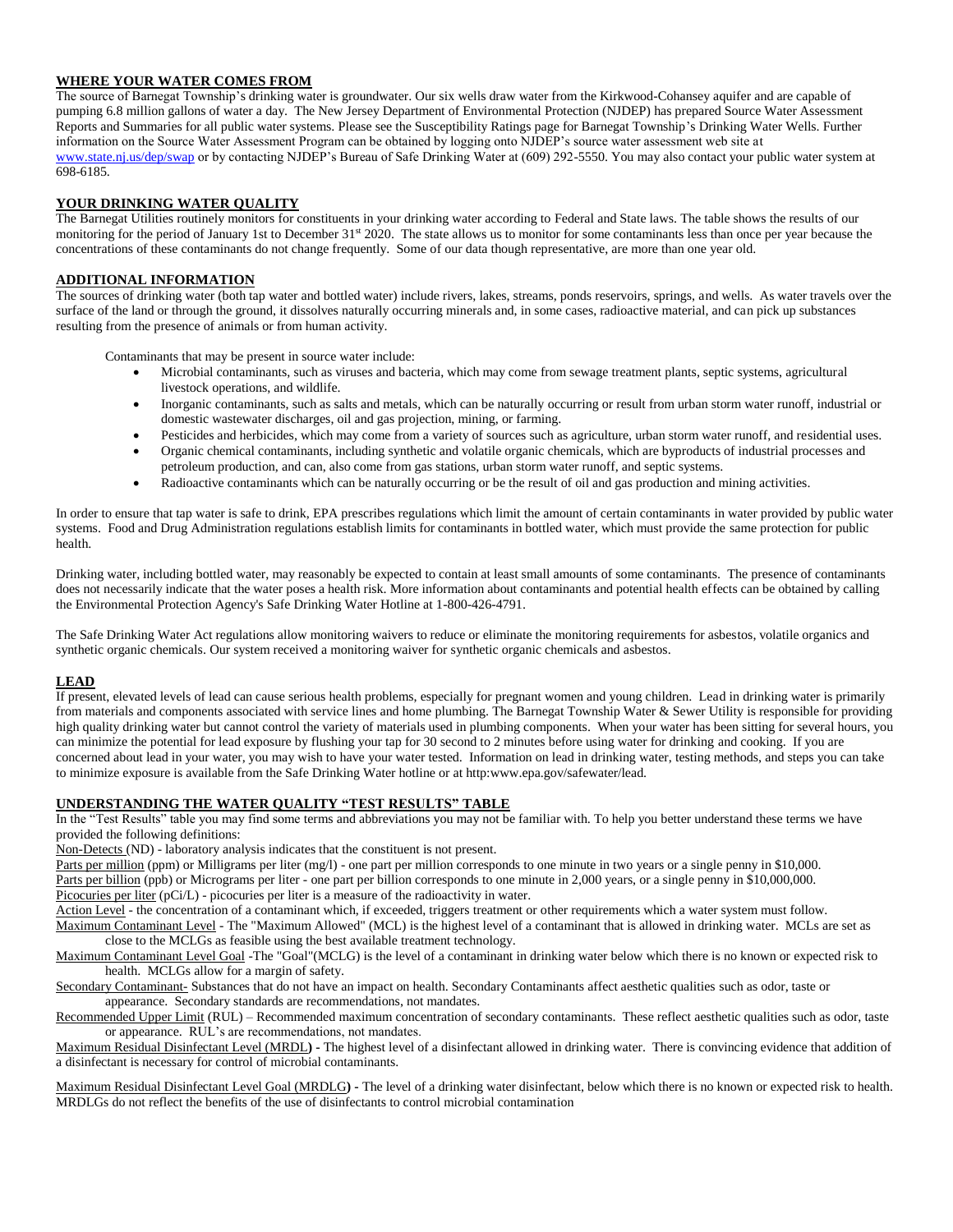### **WHERE YOUR WATER COMES FROM**

The source of Barnegat Township's drinking water is groundwater. Our six wells draw water from the Kirkwood-Cohansey aquifer and are capable of pumping 6.8 million gallons of water a day. The New Jersey Department of Environmental Protection (NJDEP) has prepared Source Water Assessment Reports and Summaries for all public water systems. Please see the Susceptibility Ratings page for Barnegat Township's Drinking Water Wells. Further information on the Source Water Assessment Program can be obtained by logging onto NJDEP's source water assessment web site at www.state.nj.us/dep/swap or by contacting NJDEP's Bureau of Safe Drinking Water at (609) 292-5550. You may also contact your public water system at 698-6185.

#### **YOUR DRINKING WATER QUALITY**

The Barnegat Utilities routinely monitors for constituents in your drinking water according to Federal and State laws. The table shows the results of our monitoring for the period of January 1st to December 31<sup>st</sup> 2020. The state allows us to monitor for some contaminants less than once per year because the concentrations of these contaminants do not change frequently. Some of our data though representative, are more than one year old.

## **ADDITIONAL INFORMATION**

The sources of drinking water (both tap water and bottled water) include rivers, lakes, streams, ponds reservoirs, springs, and wells. As water travels over the surface of the land or through the ground, it dissolves naturally occurring minerals and, in some cases, radioactive material, and can pick up substances resulting from the presence of animals or from human activity.

Contaminants that may be present in source water include:

- Microbial contaminants, such as viruses and bacteria, which may come from sewage treatment plants, septic systems, agricultural livestock operations, and wildlife.
- Inorganic contaminants, such as salts and metals, which can be naturally occurring or result from urban storm water runoff, industrial or domestic wastewater discharges, oil and gas projection, mining, or farming.
- Pesticides and herbicides, which may come from a variety of sources such as agriculture, urban storm water runoff, and residential uses.
- Organic chemical contaminants, including synthetic and volatile organic chemicals, which are byproducts of industrial processes and petroleum production, and can, also come from gas stations, urban storm water runoff, and septic systems.
- Radioactive contaminants which can be naturally occurring or be the result of oil and gas production and mining activities.

In order to ensure that tap water is safe to drink, EPA prescribes regulations which limit the amount of certain contaminants in water provided by public water systems. Food and Drug Administration regulations establish limits for contaminants in bottled water, which must provide the same protection for public health.

Drinking water, including bottled water, may reasonably be expected to contain at least small amounts of some contaminants. The presence of contaminants does not necessarily indicate that the water poses a health risk. More information about contaminants and potential health effects can be obtained by calling the Environmental Protection Agency's Safe Drinking Water Hotline at 1-800-426-4791.

The Safe Drinking Water Act regulations allow monitoring waivers to reduce or eliminate the monitoring requirements for asbestos, volatile organics and synthetic organic chemicals. Our system received a monitoring waiver for synthetic organic chemicals and asbestos.

## **LEAD**

If present, elevated levels of lead can cause serious health problems, especially for pregnant women and young children. Lead in drinking water is primarily from materials and components associated with service lines and home plumbing. The Barnegat Township Water & Sewer Utility is responsible for providing high quality drinking water but cannot control the variety of materials used in plumbing components. When your water has been sitting for several hours, you can minimize the potential for lead exposure by flushing your tap for 30 second to 2 minutes before using water for drinking and cooking. If you are concerned about lead in your water, you may wish to have your water tested. Information on lead in drinking water, testing methods, and steps you can take to minimize exposure is available from the Safe Drinking Water hotline or at http:www.epa.gov/safewater/lead.

## **UNDERSTANDING THE WATER QUALITY "TEST RESULTS" TABLE**

In the "Test Results" table you may find some terms and abbreviations you may not be familiar with. To help you better understand these terms we have provided the following definitions:

Non-Detects (ND) - laboratory analysis indicates that the constituent is not present.

Parts per million (ppm) or Milligrams per liter (mg/l) - one part per million corresponds to one minute in two years or a single penny in \$10,000.

Parts per billion (ppb) or Micrograms per liter - one part per billion corresponds to one minute in 2,000 years, or a single penny in \$10,000,000.

Picocuries per liter (pCi/L) - picocuries per liter is a measure of the radioactivity in water.

Action Level - the concentration of a contaminant which, if exceeded, triggers treatment or other requirements which a water system must follow.

Maximum Contaminant Level - The "Maximum Allowed" (MCL) is the highest level of a contaminant that is allowed in drinking water. MCLs are set as close to the MCLGs as feasible using the best available treatment technology.

Maximum Contaminant Level Goal -The "Goal"(MCLG) is the level of a contaminant in drinking water below which there is no known or expected risk to health. MCLGs allow for a margin of safety.

Secondary Contaminant- Substances that do not have an impact on health. Secondary Contaminants affect aesthetic qualities such as odor, taste or appearance. Secondary standards are recommendations, not mandates.

Recommended Upper Limit (RUL) – Recommended maximum concentration of secondary contaminants. These reflect aesthetic qualities such as odor, taste or appearance. RUL's are recommendations, not mandates.

Maximum Residual Disinfectant Level (MRDL**) -** The highest level of a disinfectant allowed in drinking water. There is convincing evidence that addition of a disinfectant is necessary for control of microbial contaminants.

Maximum Residual Disinfectant Level Goal (MRDLG**) -** The level of a drinking water disinfectant, below which there is no known or expected risk to health. MRDLGs do not reflect the benefits of the use of disinfectants to control microbial contamination